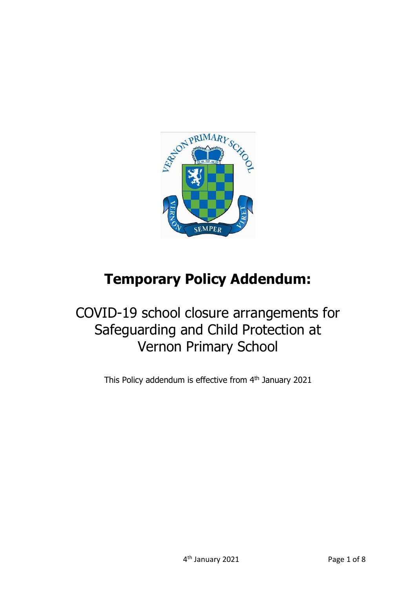

# **Temporary Policy Addendum:**

# COVID-19 school closure arrangements for Safeguarding and Child Protection at Vernon Primary School

This Policy addendum is effective from 4<sup>th</sup> January 2021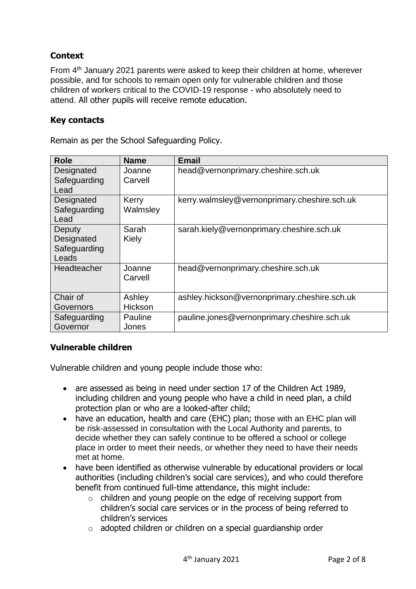## **Context**

From 4<sup>th</sup> January 2021 parents were asked to keep their children at home, wherever possible, and for schools to remain open only for vulnerable children and those children of workers critical to the COVID-19 response - who absolutely need to attend. All other pupils will receive remote education.

#### **Key contacts**

Remain as per the School Safeguarding Policy.

| <b>Role</b>                                   | <b>Name</b>       | Email                                        |
|-----------------------------------------------|-------------------|----------------------------------------------|
| Designated<br>Safeguarding<br>Lead            | Joanne<br>Carvell | head@vernonprimary.cheshire.sch.uk           |
| Designated<br>Safeguarding<br>Lead            | Kerry<br>Walmsley | kerry.walmsley@vernonprimary.cheshire.sch.uk |
| Deputy<br>Designated<br>Safeguarding<br>Leads | Sarah<br>Kiely    | sarah.kiely@vernonprimary.cheshire.sch.uk    |
| Headteacher                                   | Joanne<br>Carvell | head@vernonprimary.cheshire.sch.uk           |
| Chair of<br>Governors                         | Ashley<br>Hickson | ashley.hickson@vernonprimary.cheshire.sch.uk |
| Safeguarding<br>Governor                      | Pauline<br>Jones  | pauline.jones@vernonprimary.cheshire.sch.uk  |

#### **Vulnerable children**

Vulnerable children and young people include those who:

- are assessed as being in need under section 17 of the Children Act 1989, including children and young people who have a child in need plan, a child protection plan or who are a looked-after child;
- have an education, health and care (EHC) plan; those with an EHC plan will be risk-assessed in consultation with the Local Authority and parents, to decide whether they can safely continue to be offered a school or college place in order to meet their needs, or whether they need to have their needs met at home.
- have been identified as otherwise vulnerable by educational providers or local authorities (including children's social care services), and who could therefore benefit from continued full-time attendance, this might include:
	- o children and young people on the edge of receiving support from children's social care services or in the process of being referred to children's services
	- o adopted children or children on a special guardianship order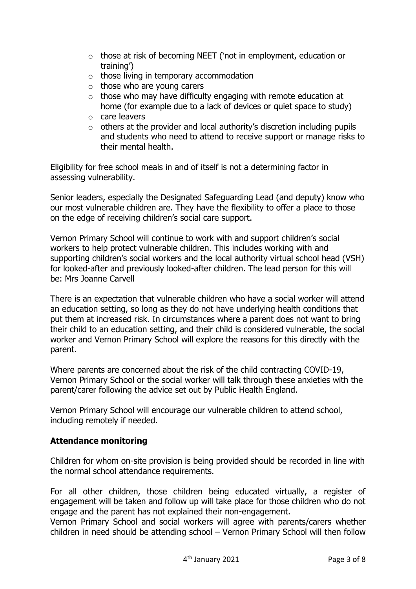- o those at risk of becoming NEET ('not in employment, education or training')
- $\circ$  those living in temporary accommodation
- $\circ$  those who are young carers
- $\circ$  those who may have difficulty engaging with remote education at home (for example due to a lack of devices or quiet space to study)
- o care leavers
- $\circ$  others at the provider and local authority's discretion including pupils and students who need to attend to receive support or manage risks to their mental health.

Eligibility for free school meals in and of itself is not a determining factor in assessing vulnerability.

Senior leaders, especially the Designated Safeguarding Lead (and deputy) know who our most vulnerable children are. They have the flexibility to offer a place to those on the edge of receiving children's social care support.

Vernon Primary School will continue to work with and support children's social workers to help protect vulnerable children. This includes working with and supporting children's social workers and the local authority virtual school head (VSH) for looked-after and previously looked-after children. The lead person for this will be: Mrs Joanne Carvell

There is an expectation that vulnerable children who have a social worker will attend an education setting, so long as they do not have underlying health conditions that put them at increased risk. In circumstances where a parent does not want to bring their child to an education setting, and their child is considered vulnerable, the social worker and Vernon Primary School will explore the reasons for this directly with the parent.

Where parents are concerned about the risk of the child contracting COVID-19, Vernon Primary School or the social worker will talk through these anxieties with the parent/carer following the advice set out by Public Health England.

Vernon Primary School will encourage our vulnerable children to attend school, including remotely if needed.

### **Attendance monitoring**

Children for whom on-site provision is being provided should be recorded in line with the normal school attendance requirements.

For all other children, those children being educated virtually, a register of engagement will be taken and follow up will take place for those children who do not engage and the parent has not explained their non-engagement.

Vernon Primary School and social workers will agree with parents/carers whether children in need should be attending school – Vernon Primary School will then follow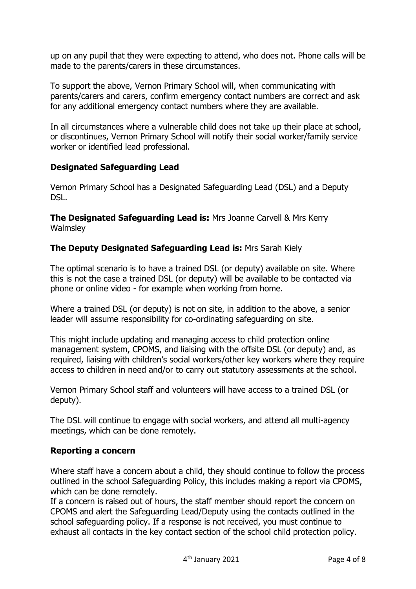up on any pupil that they were expecting to attend, who does not. Phone calls will be made to the parents/carers in these circumstances.

To support the above, Vernon Primary School will, when communicating with parents/carers and carers, confirm emergency contact numbers are correct and ask for any additional emergency contact numbers where they are available.

In all circumstances where a vulnerable child does not take up their place at school, or discontinues, Vernon Primary School will notify their social worker/family service worker or identified lead professional.

#### **Designated Safeguarding Lead**

Vernon Primary School has a Designated Safeguarding Lead (DSL) and a Deputy DSL.

**The Designated Safeguarding Lead is:** Mrs Joanne Carvell & Mrs Kerry **Walmsley** 

#### **The Deputy Designated Safeguarding Lead is:** Mrs Sarah Kiely

The optimal scenario is to have a trained DSL (or deputy) available on site. Where this is not the case a trained DSL (or deputy) will be available to be contacted via phone or online video - for example when working from home.

Where a trained DSL (or deputy) is not on site, in addition to the above, a senior leader will assume responsibility for co-ordinating safeguarding on site.

This might include updating and managing access to child protection online management system, CPOMS, and liaising with the offsite DSL (or deputy) and, as required, liaising with children's social workers/other key workers where they require access to children in need and/or to carry out statutory assessments at the school.

Vernon Primary School staff and volunteers will have access to a trained DSL (or deputy).

The DSL will continue to engage with social workers, and attend all multi-agency meetings, which can be done remotely.

#### **Reporting a concern**

Where staff have a concern about a child, they should continue to follow the process outlined in the school Safeguarding Policy, this includes making a report via CPOMS, which can be done remotely.

If a concern is raised out of hours, the staff member should report the concern on CPOMS and alert the Safeguarding Lead/Deputy using the contacts outlined in the school safeguarding policy. If a response is not received, you must continue to exhaust all contacts in the key contact section of the school child protection policy.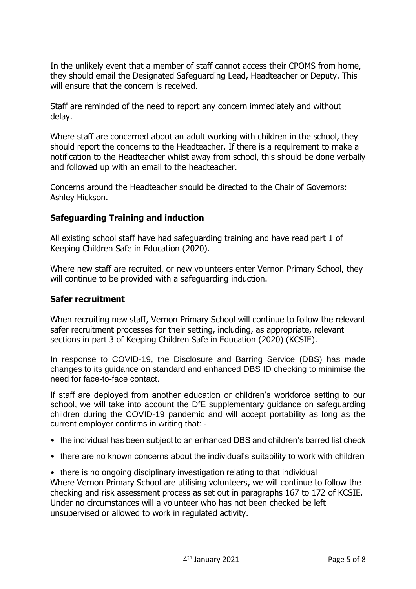In the unlikely event that a member of staff cannot access their CPOMS from home, they should email the Designated Safeguarding Lead, Headteacher or Deputy. This will ensure that the concern is received.

Staff are reminded of the need to report any concern immediately and without delay.

Where staff are concerned about an adult working with children in the school, they should report the concerns to the Headteacher. If there is a requirement to make a notification to the Headteacher whilst away from school, this should be done verbally and followed up with an email to the headteacher.

Concerns around the Headteacher should be directed to the Chair of Governors: Ashley Hickson.

#### **Safeguarding Training and induction**

All existing school staff have had safeguarding training and have read part 1 of Keeping Children Safe in Education (2020).

Where new staff are recruited, or new volunteers enter Vernon Primary School, they will continue to be provided with a safeguarding induction.

#### **Safer recruitment**

When recruiting new staff, Vernon Primary School will continue to follow the relevant safer recruitment processes for their setting, including, as appropriate, relevant sections in part 3 of Keeping Children Safe in Education (2020) (KCSIE).

In response to COVID-19, the Disclosure and Barring Service (DBS) has made changes to its guidance on standard and enhanced DBS ID checking to minimise the need for face-to-face contact.

If staff are deployed from another education or children's workforce setting to our school, we will take into account the DfE supplementary guidance on safeguarding children during the COVID-19 pandemic and will accept portability as long as the current employer confirms in writing that: -

- the individual has been subject to an enhanced DBS and children's barred list check
- there are no known concerns about the individual's suitability to work with children
- there is no ongoing disciplinary investigation relating to that individual Where Vernon Primary School are utilising volunteers, we will continue to follow the checking and risk assessment process as set out in paragraphs 167 to 172 of KCSIE. Under no circumstances will a volunteer who has not been checked be left unsupervised or allowed to work in regulated activity.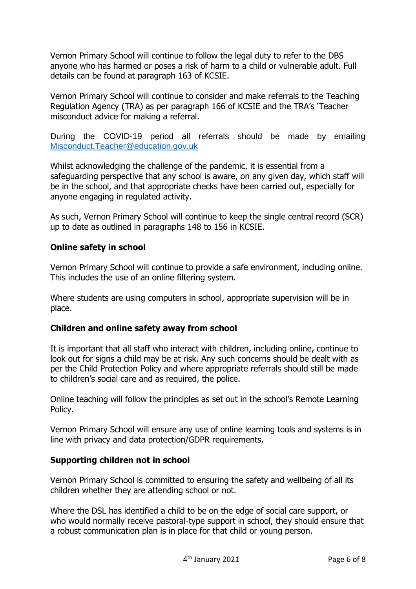Vernon Primary School will continue to follow the legal duty to refer to the DBS anyone who has harmed or poses a risk of harm to a child or vulnerable adult. Full details can be found at paragraph 163 of KCSIE.

Vernon Primary School will continue to consider and make referrals to the Teaching Regulation Agency (TRA) as per paragraph 166 of KCSIE and the TRA's 'Teacher misconduct advice for making a referral.

During the COVID-19 period all referrals should be made by emailing [Misconduct.Teacher@education.gov.uk](mailto:Misconduct.Teacher@education.gov.uk)

Whilst acknowledging the challenge of the pandemic, it is essential from a safeguarding perspective that any school is aware, on any given day, which staff will be in the school, and that appropriate checks have been carried out, especially for anyone engaging in regulated activity.

As such, Vernon Primary School will continue to keep the single central record (SCR) up to date as outlined in paragraphs 148 to 156 in KCSIE.

#### **Online safety in school**

Vernon Primary School will continue to provide a safe environment, including online. This includes the use of an online filtering system.

Where students are using computers in school, appropriate supervision will be in place.

#### **Children and online safety away from school**

It is important that all staff who interact with children, including online, continue to look out for signs a child may be at risk. Any such concerns should be dealt with as per the Child Protection Policy and where appropriate referrals should still be made to children's social care and as required, the police.

Online teaching will follow the principles as set out in the school's Remote Learning Policy.

Vernon Primary School will ensure any use of online learning tools and systems is in line with privacy and data protection/GDPR requirements.

#### **Supporting children not in school**

Vernon Primary School is committed to ensuring the safety and wellbeing of all its children whether they are attending school or not.

Where the DSL has identified a child to be on the edge of social care support, or who would normally receive pastoral-type support in school, they should ensure that a robust communication plan is in place for that child or young person.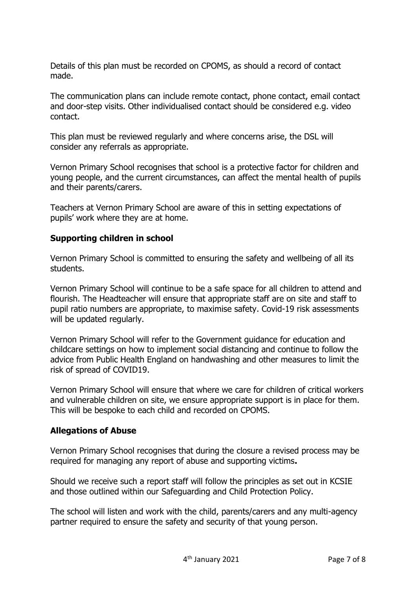Details of this plan must be recorded on CPOMS, as should a record of contact made.

The communication plans can include remote contact, phone contact, email contact and door-step visits. Other individualised contact should be considered e.g. video contact.

This plan must be reviewed regularly and where concerns arise, the DSL will consider any referrals as appropriate.

Vernon Primary School recognises that school is a protective factor for children and young people, and the current circumstances, can affect the mental health of pupils and their parents/carers.

Teachers at Vernon Primary School are aware of this in setting expectations of pupils' work where they are at home.

#### **Supporting children in school**

Vernon Primary School is committed to ensuring the safety and wellbeing of all its students.

Vernon Primary School will continue to be a safe space for all children to attend and flourish. The Headteacher will ensure that appropriate staff are on site and staff to pupil ratio numbers are appropriate, to maximise safety. Covid-19 risk assessments will be updated regularly.

Vernon Primary School will refer to the Government guidance for education and childcare settings on how to implement social distancing and continue to follow the advice from Public Health England on handwashing and other measures to limit the risk of spread of COVID19.

Vernon Primary School will ensure that where we care for children of critical workers and vulnerable children on site, we ensure appropriate support is in place for them. This will be bespoke to each child and recorded on CPOMS.

#### **Allegations of Abuse**

Vernon Primary School recognises that during the closure a revised process may be required for managing any report of abuse and supporting victims**.** 

Should we receive such a report staff will follow the principles as set out in KCSIE and those outlined within our Safeguarding and Child Protection Policy.

The school will listen and work with the child, parents/carers and any multi-agency partner required to ensure the safety and security of that young person.